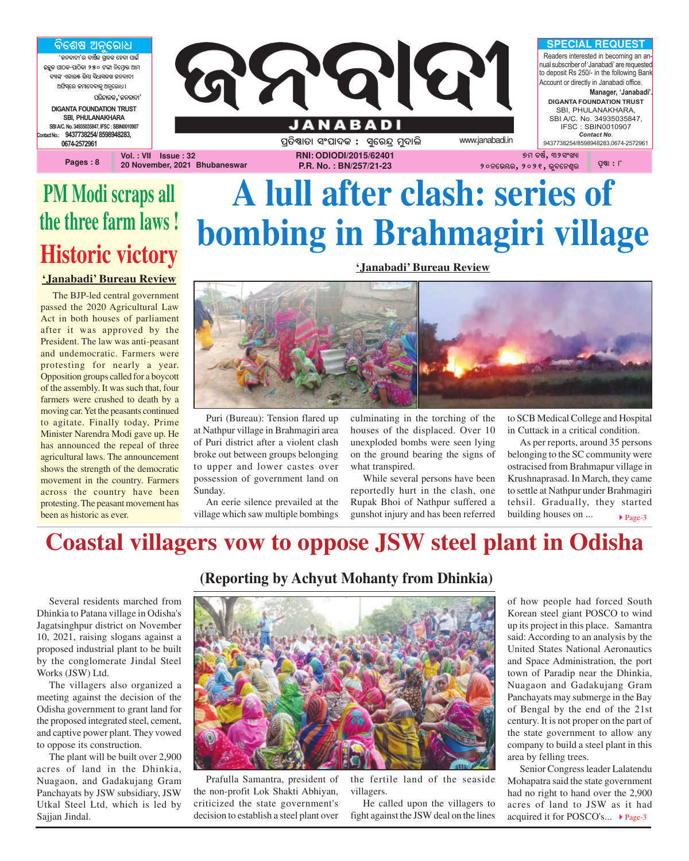<u>ବିଶେଷ ଅନୁରୋଧ</u> ,<br>'ଜନବାଦୀ'ର ବାର୍ଷିକ ଗାହକ ହେବା ପାଇଁ **AzêK \_ûVK-\_ûVòKû 250 Uuû ^òùcÜûq @ûc** ବ୍ୟାଙ୍କ ଏକାଉ<mark>ଛ୍</mark> କିୟା ସିଧାସଳଖ ଜନବାଦୀ **@`òi¨ùe Rcûù\aûKê @^êùeû]ö** ପରିଚାଳକ**,**'ଜନବାଦୀ' **DIGANTA FOUNDATION TRUST SBI, PHULANAKHARA SBI A/C. No. 34935035847, IFSC : SBIN0010907 Contact No.: 9437738254/ 8598948283, 0674-2572961**

**Pages : 8**



**20 November, 2021 Bhubaneswar**

**RNI: ODIODI/2015/62401 P.R. No. : BN/257/21-23**

# **PM Modi scraps all the three farm laws ! Historic victory**

**'Janabadi' Bureau Review**

The BJP-led central government passed the 2020 Agricultural Law Act in both houses of parliament after it was approved by the President. The law was anti-peasant and undemocratic. Farmers were protesting for nearly a year. Opposition groups called for a boycott of the assembly. It was such that, four farmers were crushed to death by a moving car. Yet the peasants continued to agitate. Finally today, Prime Minister Narendra Modi gave up. He has announced the repeal of three agricultural laws. The announcement shows the strength of the democratic movement in the country. Farmers across the country have been protesting. The peasant movement has been as historic as ever.

# **A lull after clash: series of bombing in Brahmagiri village**

**'Janabadi' Bureau Review**



Puri (Bureau): Tension flared up at Nathpur village in Brahmagiri area of Puri district after a violent clash broke out between groups belonging to upper and lower castes over possession of government land on Sunday.

An eerie silence prevailed at the village which saw multiple bombings culminating in the torching of the houses of the displaced. Over 10 unexploded bombs were seen lying on the ground bearing the signs of what transpired.

While several persons have been reportedly hurt in the clash, one Rupak Bhoi of Nathpur suffered a gunshot injury and has been referred to SCB Medical College and Hospital in Cuttack in a critical condition.

 $\blacktriangleright$  Page-3 As per reports, around 35 persons belonging to the SC community were ostracised from Brahmapur village in Krushnaprasad. In March, they came to settle at Nathpur under Brahmagiri tehsil. Gradually, they started building houses on ...

### **Coastal villagers vow to oppose JSW steel plant in Odisha**

Several residents marched from Dhinkia to Patana village in Odisha's Jagatsinghpur district on November 10, 2021, raising slogans against a proposed industrial plant to be built by the conglomerate Jindal Steel Works (JSW) Ltd.

The villagers also organized a meeting against the decision of the Odisha government to grant land for the proposed integrated steel, cement, and captive power plant. They vowed to oppose its construction.

The plant will be built over 2,900 acres of land in the Dhinkia, Nuagaon, and Gadakujang Gram Panchayats by JSW subsidiary, JSW Utkal Steel Ltd, which is led by Sajjan Jindal.

### **(Reporting by Achyut Mohanty from Dhinkia)**



Prafulla Samantra, president of the non-profit Lok Shakti Abhiyan, criticized the state government's decision to establish a steel plant over the fertile land of the seaside villagers.

He called upon the villagers to fight against the JSW deal on the lines of how people had forced South Korean steel giant POSCO to wind up its project in this place. Samantra said: According to an analysis by the United States National Aeronautics and Space Administration, the port town of Paradip near the Dhinkia, Nuagaon and Gadakujang Gram Panchayats may submerge in the Bay of Bengal by the end of the 21st century. It is not proper on the part of the state government to allow any company to build a steel plant in this area by felling trees.

acquired it for POSCO's... ▶ Page-3 Senior Congress leader Lalatendu Mohapatra said the state government had no right to hand over the 2,900 acres of land to JSW as it had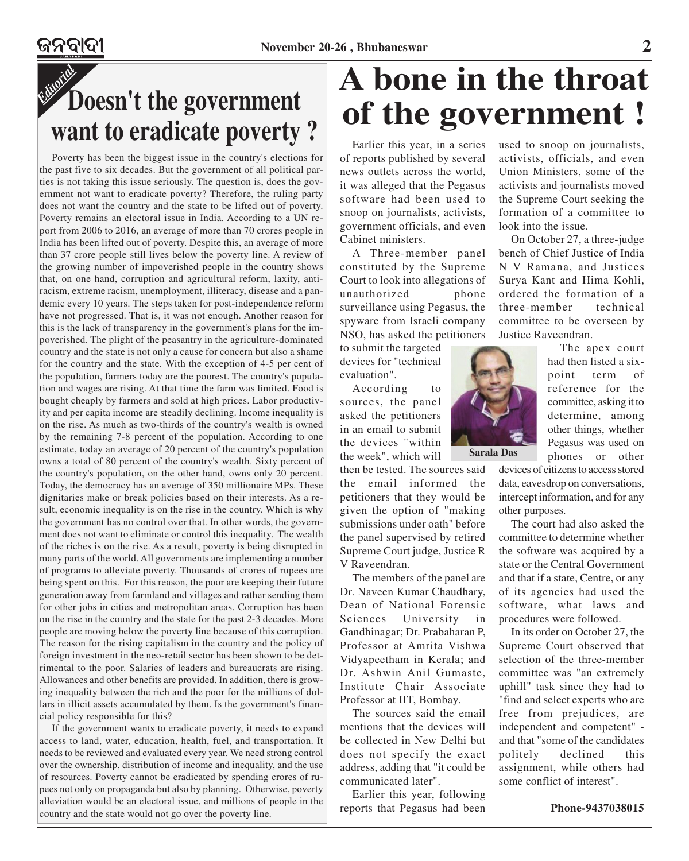

Poverty has been the biggest issue in the country's elections for the past five to six decades. But the government of all political parties is not taking this issue seriously. The question is, does the government not want to eradicate poverty? Therefore, the ruling party does not want the country and the state to be lifted out of poverty. Poverty remains an electoral issue in India. According to a UN report from 2006 to 2016, an average of more than 70 crores people in India has been lifted out of poverty. Despite this, an average of more than 37 crore people still lives below the poverty line. A review of the growing number of impoverished people in the country shows that, on one hand, corruption and agricultural reform, laxity, antiracism, extreme racism, unemployment, illiteracy, disease and a pandemic every 10 years. The steps taken for post-independence reform have not progressed. That is, it was not enough. Another reason for this is the lack of transparency in the government's plans for the impoverished. The plight of the peasantry in the agriculture-dominated country and the state is not only a cause for concern but also a shame for the country and the state. With the exception of 4-5 per cent of the population, farmers today are the poorest. The country's population and wages are rising. At that time the farm was limited. Food is bought cheaply by farmers and sold at high prices. Labor productivity and per capita income are steadily declining. Income inequality is on the rise. As much as two-thirds of the country's wealth is owned by the remaining 7-8 percent of the population. According to one estimate, today an average of 20 percent of the country's population owns a total of 80 percent of the country's wealth. Sixty percent of the country's population, on the other hand, owns only 20 percent. Today, the democracy has an average of 350 millionaire MPs. These dignitaries make or break policies based on their interests. As a result, economic inequality is on the rise in the country. Which is why the government has no control over that. In other words, the government does not want to eliminate or control this inequality. The wealth of the riches is on the rise. As a result, poverty is being disrupted in many parts of the world. All governments are implementing a number of programs to alleviate poverty. Thousands of crores of rupees are being spent on this. For this reason, the poor are keeping their future generation away from farmland and villages and rather sending them for other jobs in cities and metropolitan areas. Corruption has been on the rise in the country and the state for the past 2-3 decades. More people are moving below the poverty line because of this corruption. The reason for the rising capitalism in the country and the policy of foreign investment in the neo-retail sector has been shown to be detrimental to the poor. Salaries of leaders and bureaucrats are rising. Allowances and other benefits are provided. In addition, there is growing inequality between the rich and the poor for the millions of dollars in illicit assets accumulated by them. Is the government's financial policy responsible for this?

If the government wants to eradicate poverty, it needs to expand access to land, water, education, health, fuel, and transportation. It needs to be reviewed and evaluated every year. We need strong control over the ownership, distribution of income and inequality, and the use of resources. Poverty cannot be eradicated by spending crores of rupees not only on propaganda but also by planning. Otherwise, poverty alleviation would be an electoral issue, and millions of people in the country and the state would not go over the poverty line.

# **A bone in the throat of the government !**

Earlier this year, in a series of reports published by several news outlets across the world, it was alleged that the Pegasus software had been used to snoop on journalists, activists, government officials, and even Cabinet ministers.

A Three-member panel constituted by the Supreme Court to look into allegations of unauthorized phone surveillance using Pegasus, the spyware from Israeli company NSO, has asked the petitioners

to submit the targeted devices for "technical evaluation".

According to sources, the panel asked the petitioners in an email to submit the devices "within the week", which will

then be tested. The sources said the email informed the petitioners that they would be given the option of "making submissions under oath" before the panel supervised by retired Supreme Court judge, Justice R V Raveendran.

The members of the panel are Dr. Naveen Kumar Chaudhary, Dean of National Forensic Sciences University in Gandhinagar; Dr. Prabaharan P, Professor at Amrita Vishwa Vidyapeetham in Kerala; and Dr. Ashwin Anil Gumaste, Institute Chair Associate Professor at IIT, Bombay.

The sources said the email mentions that the devices will be collected in New Delhi but does not specify the exact address, adding that "it could be communicated later".

Earlier this year, following reports that Pegasus had been used to snoop on journalists, activists, officials, and even Union Ministers, some of the activists and journalists moved the Supreme Court seeking the formation of a committee to look into the issue.

On October 27, a three-judge bench of Chief Justice of India N V Ramana, and Justices Surya Kant and Hima Kohli, ordered the formation of a three-member technical committee to be overseen by Justice Raveendran.

> The apex court had then listed a sixpoint term of reference for the committee, asking it to determine, among other things, whether Pegasus was used on phones or other

devices of citizens to access stored data, eavesdrop on conversations, intercept information, and for any other purposes.

The court had also asked the committee to determine whether the software was acquired by a state or the Central Government and that if a state, Centre, or any of its agencies had used the software, what laws and procedures were followed.

In its order on October 27, the Supreme Court observed that selection of the three-member committee was "an extremely uphill" task since they had to "find and select experts who are free from prejudices, are independent and competent" and that "some of the candidates politely declined this assignment, while others had some conflict of interest".

 **Phone-9437038015**

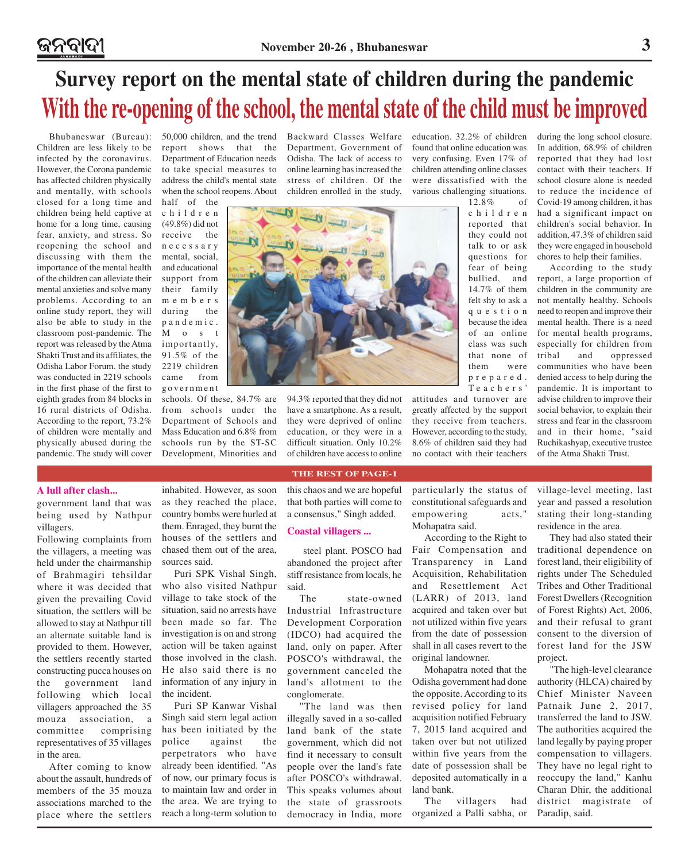# **Survey report on the mental state of children during the pandemic With the re-opening of the school, the mental state of the child must be improved**

Children are less likely to be infected by the coronavirus. However, the Corona pandemic has affected children physically and mentally, with schools closed for a long time and children being held captive at home for a long time, causing fear, anxiety, and stress. So reopening the school and discussing with them the importance of the mental health of the children can alleviate their mental anxieties and solve many problems. According to an online study report, they will also be able to study in the classroom post-pandemic. The report was released by the Atma Shakti Trust and its affiliates, the Odisha Labor Forum. the study was conducted in 2219 schools in the first phase of the first to eighth grades from 84 blocks in 16 rural districts of Odisha. According to the report, 73.2% of children were mentally and physically abused during the pandemic. The study will cover

Bhubaneswar (Bureau): 50,000 children, and the trend report shows that the Department of Education needs to take special measures to address the child's mental state when the school reopens. About

> half of the children (49.8%) did not receive the necessary mental, social, and educational support from their family members during the pandemic. M o s t importantly, 91.5% of the 2219 children came from government

schools. Of these, 84.7% are from schools under the Department of Schools and Mass Education and 6.8% from schools run by the ST-SC Development, Minorities and Backward Classes Welfare Department, Government of Odisha. The lack of access to online learning has increased the stress of children. Of the children enrolled in the study,

education. 32.2% of children found that online education was very confusing. Even 17% of children attending online classes were dissatisfied with the various challenging situations.

12.8% of children reported that they could not talk to or ask questions for fear of being bullied, and 14.7% of them felt shy to ask a question because the idea of an online class was such that none of them were prepared. T eachers'

attitudes and turnover are greatly affected by the support they receive from teachers. However, according to the study, 8.6% of children said they had no contact with their teachers

during the long school closure. In addition, 68.9% of children reported that they had lost contact with their teachers. If school closure alone is needed to reduce the incidence of Covid-19 among children, it has had a significant impact on children's social behavior. In addition, 47.3% of children said they were engaged in household chores to help their families.

According to the study report, a large proportion of children in the community are not mentally healthy. Schools need to reopen and improve their mental health. There is a need for mental health programs, especially for children from tribal and oppressed communities who have been denied access to help during the pandemic. It is important to advise children to improve their social behavior, to explain their stress and fear in the classroom and in their home, "said Ruchikashyap, executive trustee of the Atma Shakti Trust.

#### **A lull after clash...**

government land that was being used by Nathpur villagers.

Following complaints from the villagers, a meeting was held under the chairmanship of Brahmagiri tehsildar where it was decided that given the prevailing Covid situation, the settlers will be allowed to stay at Nathpur till an alternate suitable land is provided to them. However, the settlers recently started constructing pucca houses on the government land following which local villagers approached the 35 mouza association, a committee comprising representatives of 35 villages in the area.

After coming to know about the assault, hundreds of members of the 35 mouza associations marched to the place where the settlers inhabited. However, as soon as they reached the place, country bombs were hurled at them. Enraged, they burnt the houses of the settlers and chased them out of the area, sources said.

Puri SPK Vishal Singh, who also visited Nathpur village to take stock of the situation, said no arrests have been made so far. The investigation is on and strong action will be taken against those involved in the clash. He also said there is no information of any injury in the incident.

Puri SP Kanwar Vishal Singh said stern legal action has been initiated by the police against the perpetrators who have already been identified. "As of now, our primary focus is to maintain law and order in the area. We are trying to reach a long-term solution to this chaos and we are hopeful that both parties will come to a consensus," Singh added.

**THE REST OF PAGE-1**

94.3% reported that they did not have a smartphone. As a result, they were deprived of online education, or they were in a difficult situation. Only 10.2% of children have access to online

#### **Coastal villagers ...**

 steel plant. POSCO had abandoned the project after stiff resistance from locals, he said.

The state-owned Industrial Infrastructure Development Corporation (IDCO) had acquired the land, only on paper. After POSCO's withdrawal, the government canceled the land's allotment to the conglomerate.

"The land was then illegally saved in a so-called land bank of the state government, which did not find it necessary to consult people over the land's fate after POSCO's withdrawal. This speaks volumes about the state of grassroots democracy in India, more particularly the status of constitutional safeguards and empowering acts," Mohapatra said.

According to the Right to Fair Compensation and Transparency in Land Acquisition, Rehabilitation and Resettlement Act (LARR) of 2013, land acquired and taken over but not utilized within five years from the date of possession shall in all cases revert to the original landowner.

Mohapatra noted that the Odisha government had done the opposite. According to its revised policy for land acquisition notified February 7, 2015 land acquired and taken over but not utilized within five years from the date of possession shall be deposited automatically in a land bank.

The villagers had organized a Palli sabha, or village-level meeting, last year and passed a resolution stating their long-standing residence in the area.

They had also stated their traditional dependence on forest land, their eligibility of rights under The Scheduled Tribes and Other Traditional Forest Dwellers (Recognition of Forest Rights) Act, 2006, and their refusal to grant consent to the diversion of forest land for the JSW project.

"The high-level clearance authority (HLCA) chaired by Chief Minister Naveen Patnaik June 2, 2017, transferred the land to JSW. The authorities acquired the land legally by paying proper compensation to villagers. They have no legal right to reoccupy the land," Kanhu Charan Dhir, the additional district magistrate of Paradip, said.

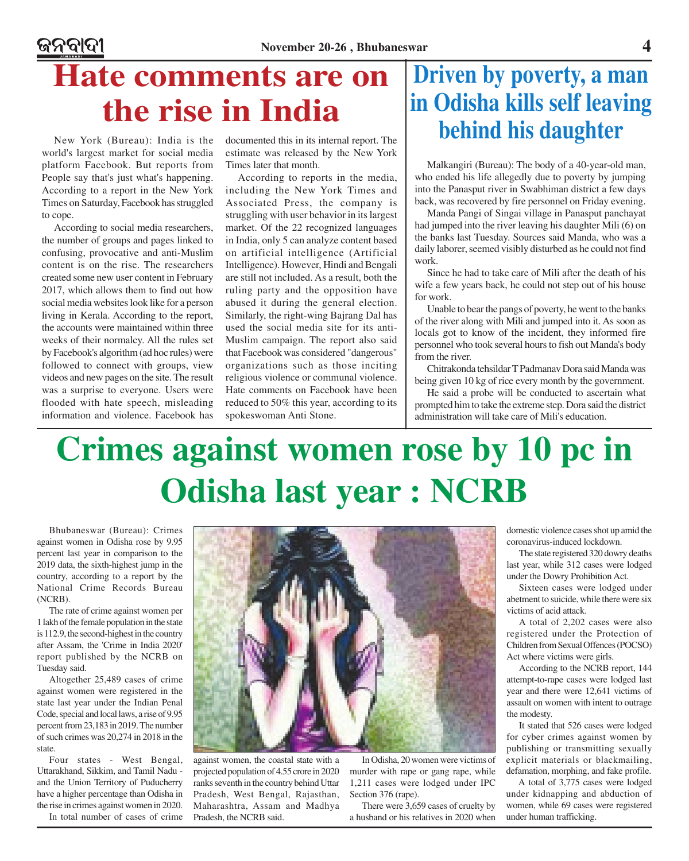### ଜନବାଦୀ

# **Hate comments are on the rise in India**

New York (Bureau): India is the world's largest market for social media platform Facebook. But reports from People say that's just what's happening. According to a report in the New York Times on Saturday, Facebook has struggled to cope.

According to social media researchers, the number of groups and pages linked to confusing, provocative and anti-Muslim content is on the rise. The researchers created some new user content in February 2017, which allows them to find out how social media websites look like for a person living in Kerala. According to the report, the accounts were maintained within three weeks of their normalcy. All the rules set by Facebook's algorithm (ad hoc rules) were followed to connect with groups, view videos and new pages on the site. The result was a surprise to everyone. Users were flooded with hate speech, misleading information and violence. Facebook has

documented this in its internal report. The estimate was released by the New York Times later that month.

According to reports in the media, including the New York Times and Associated Press, the company is struggling with user behavior in its largest market. Of the 22 recognized languages in India, only 5 can analyze content based on artificial intelligence (Artificial Intelligence). However, Hindi and Bengali are still not included. As a result, both the ruling party and the opposition have abused it during the general election. Similarly, the right-wing Bajrang Dal has used the social media site for its anti-Muslim campaign. The report also said that Facebook was considered "dangerous" organizations such as those inciting religious violence or communal violence. Hate comments on Facebook have been reduced to 50% this year, according to its spokeswoman Anti Stone.

### **Driven by poverty, a man in Odisha kills self leaving behind his daughter**

Malkangiri (Bureau): The body of a 40-year-old man, who ended his life allegedly due to poverty by jumping into the Panasput river in Swabhiman district a few days back, was recovered by fire personnel on Friday evening.

Manda Pangi of Singai village in Panasput panchayat had jumped into the river leaving his daughter Mili (6) on the banks last Tuesday. Sources said Manda, who was a daily laborer, seemed visibly disturbed as he could not find work.

Since he had to take care of Mili after the death of his wife a few years back, he could not step out of his house for work.

Unable to bear the pangs of poverty, he went to the banks of the river along with Mili and jumped into it. As soon as locals got to know of the incident, they informed fire personnel who took several hours to fish out Manda's body from the river.

Chitrakonda tehsildar T Padmanav Dora said Manda was being given 10 kg of rice every month by the government.

He said a probe will be conducted to ascertain what prompted him to take the extreme step. Dora said the district administration will take care of Mili's education.

# **Crimes against women rose by 10 pc in Odisha last year : NCRB**

Bhubaneswar (Bureau): Crimes against women in Odisha rose by 9.95 percent last year in comparison to the 2019 data, the sixth-highest jump in the country, according to a report by the National Crime Records Bureau (NCRB).

The rate of crime against women per 1 lakh of the female population in the state is 112.9, the second-highest in the country after Assam, the 'Crime in India 2020' report published by the NCRB on Tuesday said.

Altogether 25,489 cases of crime against women were registered in the state last year under the Indian Penal Code, special and local laws, a rise of 9.95 percent from 23,183 in 2019. The number of such crimes was 20,274 in 2018 in the state.

Four states - West Bengal, Uttarakhand, Sikkim, and Tamil Nadu and the Union Territory of Puducherry have a higher percentage than Odisha in the rise in crimes against women in 2020.

In total number of cases of crime



against women, the coastal state with a projected population of 4.55 crore in 2020 ranks seventh in the country behind Uttar Pradesh, West Bengal, Rajasthan, Maharashtra, Assam and Madhya Pradesh, the NCRB said.

In Odisha, 20 women were victims of murder with rape or gang rape, while 1,211 cases were lodged under IPC Section 376 (rape).

There were 3,659 cases of cruelty by a husband or his relatives in 2020 when

domestic violence cases shot up amid the coronavirus-induced lockdown.

The state registered 320 dowry deaths last year, while 312 cases were lodged under the Dowry Prohibition Act.

Sixteen cases were lodged under abetment to suicide, while there were six victims of acid attack.

A total of 2,202 cases were also registered under the Protection of Children from Sexual Offences (POCSO) Act where victims were girls.

According to the NCRB report, 144 attempt-to-rape cases were lodged last year and there were 12,641 victims of assault on women with intent to outrage the modesty.

It stated that 526 cases were lodged for cyber crimes against women by publishing or transmitting sexually explicit materials or blackmailing, defamation, morphing, and fake profile.

A total of 3,775 cases were lodged under kidnapping and abduction of women, while 69 cases were registered under human trafficking.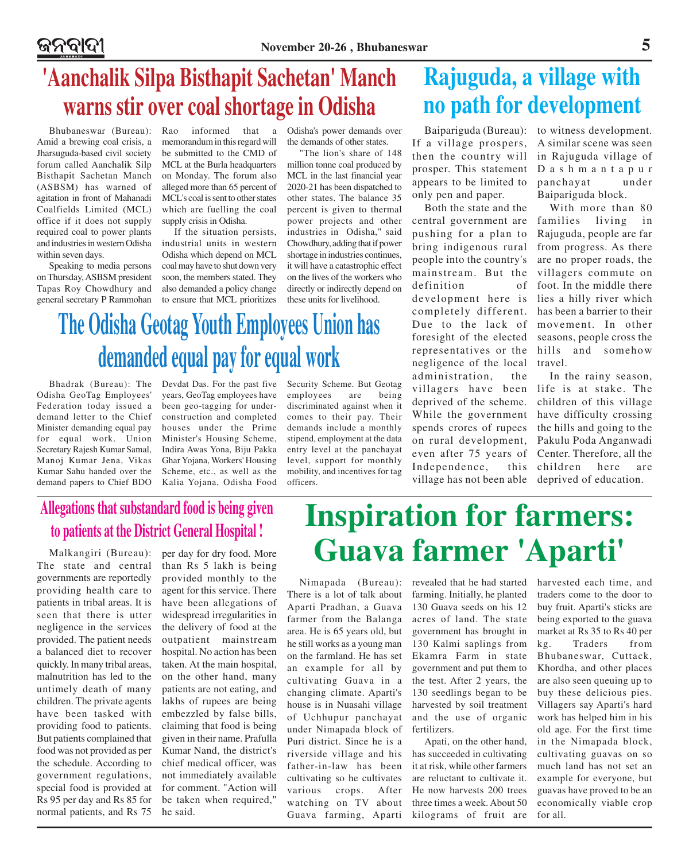# **'Aanchalik Silpa Bisthapit Sachetan' Manch warns stir over coal shortage in Odisha**

Bhubaneswar (Bureau): Amid a brewing coal crisis, a Jharsuguda-based civil society forum called Aanchalik Silp Bisthapit Sachetan Manch (ASBSM) has warned of agitation in front of Mahanadi Coalfields Limited (MCL) office if it does not supply required coal to power plants and industries in western Odisha within seven days.

Speaking to media persons on Thursday, ASBSM president Tapas Roy Chowdhury and memorandum in this regard will be submitted to the CMD of MCL at the Burla headquarters on Monday. The forum also alleged more than 65 percent of MCL's coal is sent to other states which are fuelling the coal supply crisis in Odisha.

general secretary P Rammohan to ensure that MCL prioritizes If the situation persists, industrial units in western Odisha which depend on MCL coal may have to shut down very soon, the members stated. They also demanded a policy change

Rao informed that a Odisha's power demands over the demands of other states.

> "The lion's share of 148 million tonne coal produced by MCL in the last financial year 2020-21 has been dispatched to other states. The balance 35 percent is given to thermal power projects and other industries in Odisha," said Chowdhury, adding that if power shortage in industries continues, it will have a catastrophic effect on the lives of the workers who directly or indirectly depend on these units for livelihood.

# **The Odisha Geotag Youth Employees Union has demanded equal pay for equal work**

Bhadrak (Bureau): The Odisha GeoTag Employees' Federation today issued a demand letter to the Chief Minister demanding equal pay for equal work. Union Secretary Rajesh Kumar Samal, Manoj Kumar Jena, Vikas Kumar Sahu handed over the demand papers to Chief BDO

Devdat Das. For the past five years, GeoTag employees have been geo-tagging for underconstruction and completed houses under the Prime Minister's Housing Scheme, Indira Awas Yona, Biju Pakka Ghar Yojana, Workers' Housing Scheme, etc., as well as the Kalia Yojana, Odisha Food

Security Scheme. But Geotag employees are being discriminated against when it comes to their pay. Their demands include a monthly stipend, employment at the data entry level at the panchayat level, support for monthly mobility, and incentives for tag officers.

## **Rajuguda, a village with no path for development**

If a village prospers, then the country will prosper. This statement appears to be limited to only pen and paper.

Both the state and the central government are pushing for a plan to bring indigenous rural people into the country's mainstream. But the definition of development here is completely different. Due to the lack of foresight of the elected representatives or the negligence of the local administration, the villagers have been deprived of the scheme. While the government spends crores of rupees on rural development, even after 75 years of Independence, this village has not been able

Baipariguda (Bureau): to witness development. A similar scene was seen in Rajuguda village of Dashmantapur panchayat under Baipariguda block.

> With more than 80 families living in Rajuguda, people are far from progress. As there are no proper roads, the villagers commute on foot. In the middle there lies a hilly river which has been a barrier to their movement. In other seasons, people cross the hills and somehow travel.

In the rainy season, life is at stake. The children of this village have difficulty crossing the hills and going to the Pakulu Poda Anganwadi Center. Therefore, all the children here are deprived of education.

### **Allegations that substandard food is being given to patients at the District General Hospital !**

Malkangiri (Bureau): The state and central governments are reportedly providing health care to patients in tribal areas. It is seen that there is utter negligence in the services provided. The patient needs a balanced diet to recover quickly. In many tribal areas, malnutrition has led to the untimely death of many children. The private agents have been tasked with providing food to patients. But patients complained that food was not provided as per the schedule. According to government regulations, special food is provided at Rs 95 per day and Rs 85 for normal patients, and Rs 75

per day for dry food. More than Rs 5 lakh is being provided monthly to the agent for this service. There have been allegations of widespread irregularities in the delivery of food at the outpatient mainstream hospital. No action has been taken. At the main hospital, on the other hand, many patients are not eating, and lakhs of rupees are being embezzled by false bills, claiming that food is being given in their name. Prafulla Kumar Nand, the district's chief medical officer, was not immediately available for comment. "Action will be taken when required," he said.

# **Inspiration for farmers: Guava farmer 'Aparti'**

Nimapada (Bureau): There is a lot of talk about Aparti Pradhan, a Guava farmer from the Balanga area. He is 65 years old, but he still works as a young man on the farmland. He has set an example for all by cultivating Guava in a changing climate. Aparti's house is in Nuasahi village of Uchhupur panchayat under Nimapada block of Puri district. Since he is a riverside village and his father-in-law has been cultivating so he cultivates various crops. After watching on TV about Guava farming, Aparti

revealed that he had started farming. Initially, he planted 130 Guava seeds on his 12 acres of land. The state government has brought in 130 Kalmi saplings from Ekamra Farm in state government and put them to the test. After 2 years, the 130 seedlings began to be harvested by soil treatment and the use of organic fertilizers.

Apati, on the other hand, has succeeded in cultivating it at risk, while other farmers are reluctant to cultivate it. He now harvests 200 trees three times a week. About 50 kilograms of fruit are harvested each time, and traders come to the door to buy fruit. Aparti's sticks are being exported to the guava market at Rs 35 to Rs 40 per kg. Traders from Bhubaneswar, Cuttack, Khordha, and other places are also seen queuing up to buy these delicious pies. Villagers say Aparti's hard work has helped him in his old age. For the first time in the Nimapada block, cultivating guavas on so much land has not set an example for everyone, but guavas have proved to be an economically viable crop for all.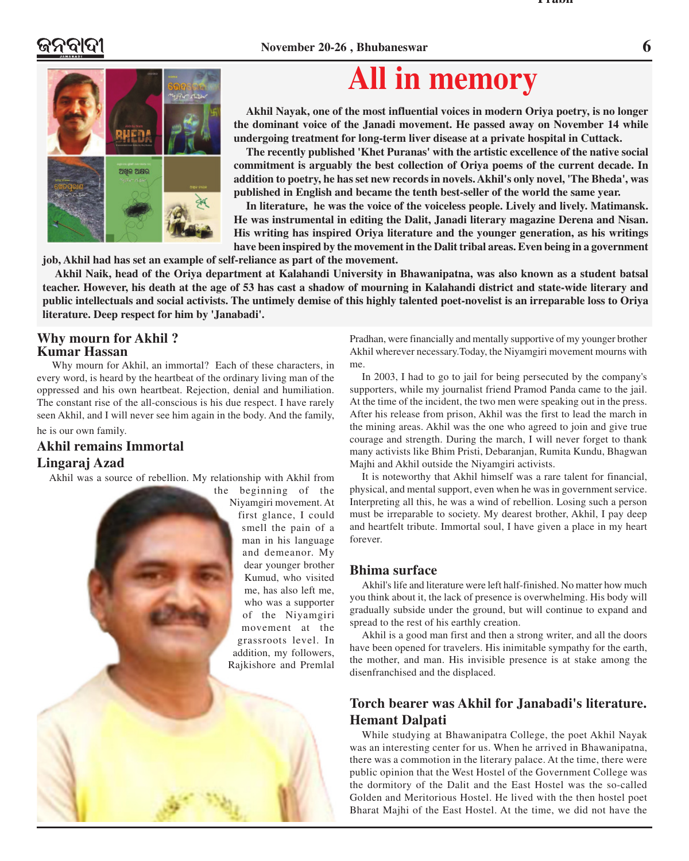#### **November 20-26 , Bhubaneswar 6**

**Prabh**



# **All in memory**

**Akhil Nayak, one of the most influential voices in modern Oriya poetry, is no longer the dominant voice of the Janadi movement. He passed away on November 14 while undergoing treatment for long-term liver disease at a private hospital in Cuttack.**

**The recently published 'Khet Puranas' with the artistic excellence of the native social commitment is arguably the best collection of Oriya poems of the current decade. In addition to poetry, he has set new records in novels. Akhil's only novel, 'The Bheda', was published in English and became the tenth best-seller of the world the same year.**

**In literature, he was the voice of the voiceless people. Lively and lively. Matimansk. He was instrumental in editing the Dalit, Janadi literary magazine Derena and Nisan. His writing has inspired Oriya literature and the younger generation, as his writings have been inspired by the movement in the Dalit tribal areas. Even being in a government**

**job, Akhil had has set an example of self-reliance as part of the movement.**

**Akhil Naik, head of the Oriya department at Kalahandi University in Bhawanipatna, was also known as a student batsal teacher. However, his death at the age of 53 has cast a shadow of mourning in Kalahandi district and state-wide literary and public intellectuals and social activists. The untimely demise of this highly talented poet-novelist is an irreparable loss to Oriya literature. Deep respect for him by 'Janabadi'.**

#### **Why mourn for Akhil ? Kumar Hassan**

Why mourn for Akhil, an immortal? Each of these characters, in every word, is heard by the heartbeat of the ordinary living man of the oppressed and his own heartbeat. Rejection, denial and humiliation. The constant rise of the all-conscious is his due respect. I have rarely seen Akhil, and I will never see him again in the body. And the family,

#### he is our own family.

### **Akhil remains Immortal Lingaraj Azad**

Akhil was a source of rebellion. My relationship with Akhil from

the beginning of the Niyamgiri movement. At first glance, I could smell the pain of a man in his language and demeanor. My dear younger brother Kumud, who visited me, has also left me, who was a supporter of the Niyamgiri movement at the grassroots level. In addition, my followers, Rajkishore and Premlal

Pradhan, were financially and mentally supportive of my younger brother Akhil wherever necessary.Today, the Niyamgiri movement mourns with me.

In 2003, I had to go to jail for being persecuted by the company's supporters, while my journalist friend Pramod Panda came to the jail. At the time of the incident, the two men were speaking out in the press. After his release from prison, Akhil was the first to lead the march in the mining areas. Akhil was the one who agreed to join and give true courage and strength. During the march, I will never forget to thank many activists like Bhim Pristi, Debaranjan, Rumita Kundu, Bhagwan Majhi and Akhil outside the Niyamgiri activists.

It is noteworthy that Akhil himself was a rare talent for financial, physical, and mental support, even when he was in government service. Interpreting all this, he was a wind of rebellion. Losing such a person must be irreparable to society. My dearest brother, Akhil, I pay deep and heartfelt tribute. Immortal soul, I have given a place in my heart forever.

#### **Bhima surface**

Akhil's life and literature were left half-finished. No matter how much you think about it, the lack of presence is overwhelming. His body will gradually subside under the ground, but will continue to expand and spread to the rest of his earthly creation.

Akhil is a good man first and then a strong writer, and all the doors have been opened for travelers. His inimitable sympathy for the earth, the mother, and man. His invisible presence is at stake among the disenfranchised and the displaced.

### **Torch bearer was Akhil for Janabadi's literature. Hemant Dalpati**

While studying at Bhawanipatra College, the poet Akhil Nayak was an interesting center for us. When he arrived in Bhawanipatna, there was a commotion in the literary palace. At the time, there were public opinion that the West Hostel of the Government College was the dormitory of the Dalit and the East Hostel was the so-called Golden and Meritorious Hostel. He lived with the then hostel poet Bharat Majhi of the East Hostel. At the time, we did not have the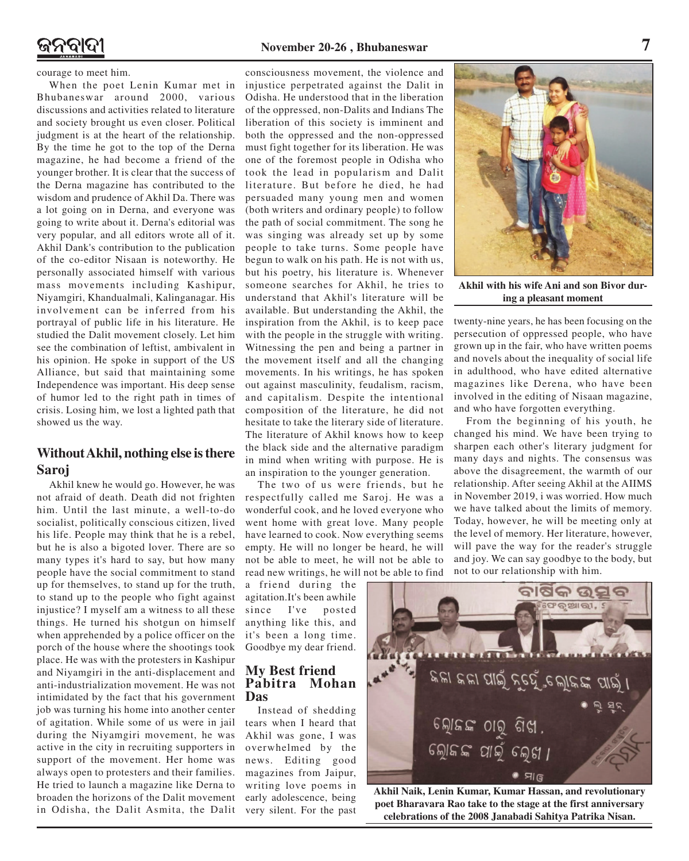courage to meet him.

When the poet Lenin Kumar met in Bhubaneswar around 2000, various discussions and activities related to literature and society brought us even closer. Political judgment is at the heart of the relationship. By the time he got to the top of the Derna magazine, he had become a friend of the younger brother. It is clear that the success of the Derna magazine has contributed to the wisdom and prudence of Akhil Da. There was a lot going on in Derna, and everyone was going to write about it. Derna's editorial was very popular, and all editors wrote all of it. Akhil Dank's contribution to the publication of the co-editor Nisaan is noteworthy. He personally associated himself with various mass movements including Kashipur, Niyamgiri, Khandualmali, Kalinganagar. His involvement can be inferred from his portrayal of public life in his literature. He studied the Dalit movement closely. Let him see the combination of leftist, ambivalent in his opinion. He spoke in support of the US Alliance, but said that maintaining some Independence was important. His deep sense of humor led to the right path in times of crisis. Losing him, we lost a lighted path that showed us the way.

### **Without Akhil, nothing else is there Saroj**

Akhil knew he would go. However, he was not afraid of death. Death did not frighten him. Until the last minute, a well-to-do socialist, politically conscious citizen, lived his life. People may think that he is a rebel, but he is also a bigoted lover. There are so many types it's hard to say, but how many people have the social commitment to stand up for themselves, to stand up for the truth, to stand up to the people who fight against injustice? I myself am a witness to all these things. He turned his shotgun on himself when apprehended by a police officer on the porch of the house where the shootings took place. He was with the protesters in Kashipur and Niyamgiri in the anti-displacement and anti-industrialization movement. He was not intimidated by the fact that his government job was turning his home into another center of agitation. While some of us were in jail during the Niyamgiri movement, he was active in the city in recruiting supporters in support of the movement. Her home was always open to protesters and their families. He tried to launch a magazine like Derna to broaden the horizons of the Dalit movement in Odisha, the Dalit Asmita, the Dalit

consciousness movement, the violence and injustice perpetrated against the Dalit in Odisha. He understood that in the liberation of the oppressed, non-Dalits and Indians The liberation of this society is imminent and both the oppressed and the non-oppressed must fight together for its liberation. He was one of the foremost people in Odisha who took the lead in popularism and Dalit literature. But before he died, he had persuaded many young men and women (both writers and ordinary people) to follow the path of social commitment. The song he was singing was already set up by some people to take turns. Some people have begun to walk on his path. He is not with us, but his poetry, his literature is. Whenever someone searches for Akhil, he tries to understand that Akhil's literature will be available. But understanding the Akhil, the inspiration from the Akhil, is to keep pace with the people in the struggle with writing. Witnessing the pen and being a partner in the movement itself and all the changing movements. In his writings, he has spoken out against masculinity, feudalism, racism, and capitalism. Despite the intentional composition of the literature, he did not hesitate to take the literary side of literature. The literature of Akhil knows how to keep the black side and the alternative paradigm in mind when writing with purpose. He is an inspiration to the younger generation.

The two of us were friends, but he respectfully called me Saroj. He was a wonderful cook, and he loved everyone who went home with great love. Many people have learned to cook. Now everything seems empty. He will no longer be heard, he will not be able to meet, he will not be able to read new writings, he will not be able to find

a friend during the agitation.It's been awhile since I've posted anything like this, and it's been a long time. Goodbye my dear friend.

#### **My Best friend Pabitra Mohan Das**

Instead of shedding tears when I heard that Akhil was gone, I was overwhelmed by the news. Editing good magazines from Jaipur, writing love poems in early adolescence, being very silent. For the past



**Akhil with his wife Ani and son Bivor during a pleasant moment**

twenty-nine years, he has been focusing on the persecution of oppressed people, who have grown up in the fair, who have written poems and novels about the inequality of social life in adulthood, who have edited alternative magazines like Derena, who have been involved in the editing of Nisaan magazine, and who have forgotten everything.

From the beginning of his youth, he changed his mind. We have been trying to sharpen each other's literary judgment for many days and nights. The consensus was above the disagreement, the warmth of our relationship. After seeing Akhil at the AIIMS in November 2019, i was worried. How much we have talked about the limits of memory. Today, however, he will be meeting only at the level of memory. Her literature, however, will pave the way for the reader's struggle and joy. We can say goodbye to the body, but not to our relationship with him.



**Akhil Naik, Lenin Kumar, Kumar Hassan, and revolutionary poet Bharavara Rao take to the stage at the first anniversary celebrations of the 2008 Janabadi Sahitya Patrika Nisan.**